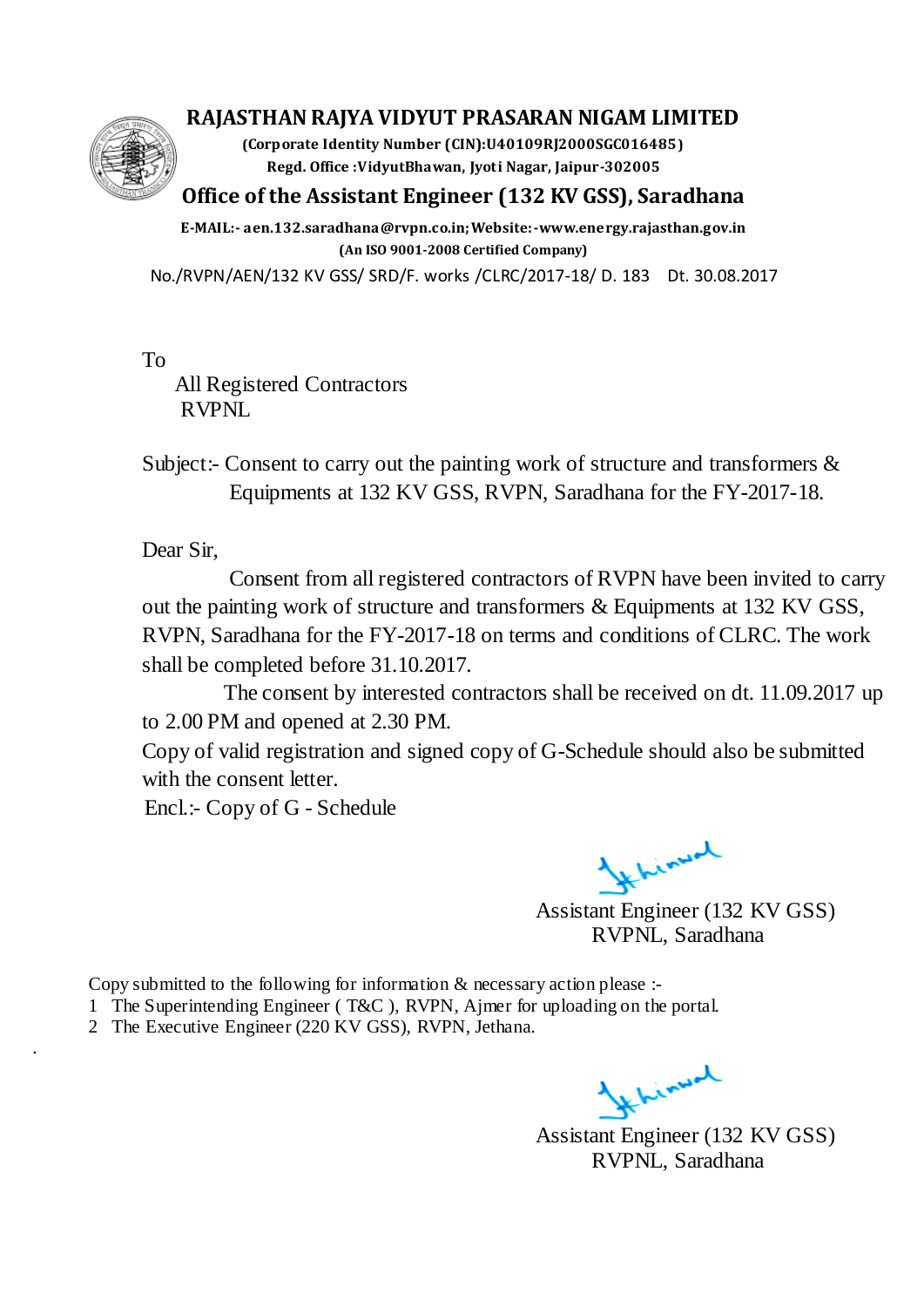#### **RAJASTHAN RAJYA VIDYUT PRASARAN NIGAM LIMITED**

**(Corporate Identity Number (CIN):U40109RJ2000SGC016485) Regd. Office :VidyutBhawan, Jyoti Nagar, Jaipur-302005**

## **Office of the Assistant Engineer (132 KV GSS), Saradhana**

**E-MAIL:- aen.132.saradhana@rvpn.co.in;Website:-www.energy.rajasthan.gov.in (An ISO 9001-2008 Certified Company)**

No./RVPN/AEN/132 KV GSS/ SRD/F. works /CLRC/2017-18/ D. 183 Dt. 30.08.2017

 To All Registered Contractors RVPNL

 Subject:- Consent to carry out the painting work of structure and transformers & Equipments at 132 KV GSS, RVPN, Saradhana for the FY-2017-18.

Dear Sir,

.

 Consent from all registered contractors of RVPN have been invited to carry out the painting work of structure and transformers & Equipments at 132 KV GSS, RVPN, Saradhana for the FY-2017-18 on terms and conditions of CLRC. The work shall be completed before 31.10.2017.

 The consent by interested contractors shall be received on dt. 11.09.2017 up to 2.00 PM and opened at 2.30 PM.

 Copy of valid registration and signed copy of G-Schedule should also be submitted with the consent letter.

Encl.:- Copy of G - Schedule

*Hehimal* 

Assistant Engineer (132 KV GSS) RVPNL, Saradhana

Copy submitted to the following for information & necessary action please :-

- 1 The Superintending Engineer ( T&C ), RVPN, Ajmer for uploading on the portal.
- 2 The Executive Engineer (220 KV GSS), RVPN, Jethana.

1 Kinyal

Assistant Engineer (132 KV GSS) RVPNL, Saradhana